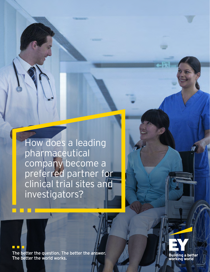How does a leading pharmaceutical company become a preferred partner for clinical trial sites and investigators?

The better the question. The better the answer. The better the world works.

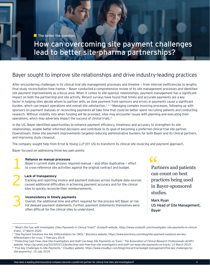$\blacksquare$  The better the question.

# How can overcoming site payment challenges<br>1ead to better site-pharma partnerships?

### Bayer sought to improve site relationships and drive industry-leading practices

After encountering challenges in its clinical trial site management processes and timeline — from internal inefficiencies to lengthy final study reconciliation time frames – Bayer conducted a comprehensive review of its site management processes and identified site payment improvements as a focus area. When it comes to site-sponsor relationships, payment management has a significant impact on both the partnership and site activity. Recent surveys have found that timely and accurate payments are a key factor in helping sites decide whom to partner with, as slow payment from sponsors and errors in payments cause a significant burden, which can impact operations and overall site satisfaction.<sup>1,2,3</sup> Managing complex invoicing processes, following up with sponsors on payment statuses or reconciling payments all take time that could be better spent recruiting patients and conducting research. Without visibility into when funding will be provided, sites may encounter issues with planning and executing their operations, which may adversely impact the success of clinical trials.4

In the US, Bayer identified opportunities to enhance payment efficiency, timeliness and accuracy to strengthen its site relationships, enable better-informed decisions and contribute to its goal of becoming a preferred clinical trial site partner. Downstream, these site payment improvements targeted reducing administrative burdens for both Bayer and its clinical partners, and improving study closeout.

The company sought help from Ernst & Young LLP (EY US) to transform its clinical site invoicing and payment approach.

Bayer focused on addressing three key pain points:

**1 Reliance on manual processes**<br>
Bayer's current state process required manual – and often duplicative – e<br>
to cross-reference site activities against the original contract and budget. Bayer's current state process required manual — and often duplicative — effort

### **Lack of transparency**

Tracking and reporting invoice and payment statuses across multiple data sources caused additional difficulties in achieving payment accuracy and for the clinical sites to quickly reconcile their reimbursements.

**113 Inconsistency in timely payments**<br>Overall, the additional time and efform delayed payment statements. Further difficult for the clinical cites to Overall, the additional time and effort required for the process left Bayer at risk for delayed payment statements. Further, payment statements themselves were often difficult for the clinical sites to understand.

## $\epsilon$

Partners and patients can count on best practices being used in Bayer-sponsored studies.

Mark Ryan US Head of Site Management, Bayer

<sup>&</sup>lt;sup>1</sup> "What's the fuss with Investigator (Site) Payments in Clinical Trials?" Octalsoft website, https://www.octalsoft.com/investigator-site-payments-in-clinicaltrials/, 17 March 2020.

<sup>2</sup> "Site Payment Solutions Are Key Differentiators for CROs," *Bioclinica website*, https://www.bioclinica.com/blog/site-payment-solutions-are-keydifferentiators-for-cros/, 7 February 2019.

<sup>&</sup>lt;sup>3</sup> "Protecting Cash Flow: How Site Investigators and Staff Can Keep Site Payments on Track," The Association of Clinical Research Professionals (ACRP)

*website*, https://acrpnet.org/2019/03/12/protecting-cash-flow-how-site-investigators-and-staff-can-keep-site-payments-on-track/, 12 March 2019. <sup>4</sup> "Five Key Challenges to Site Payments," *Cloudbyz website*, https://www.cloudbyz.com/blog/clinical-trial-budget-management/five-key-challenges-tosite-payments/, 15 July 2019.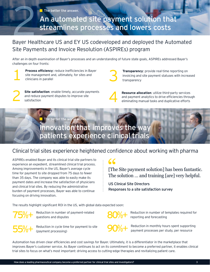$\blacksquare$  The better the answer.

An automated site payment solution that<br>streamlines processes and lowers costs

Bayer Healthcare US and EY US codeveloped and deployed the Automated Site Payments and Invoice Resolution (ASPIREs) program

After an in‑depth examination of Bayer's processes and an understanding of future state goals, ASPIREs addressed Bayer's challenges on four fronts:

**Process efficiency**: reduce inefficiencies in Bayer<br>site management and, ultimately, for sites and<br>clinicians in parallel site management and, ultimately, for sites and clinicians in parallel

Site satisfaction: enable timely, accurate payments and reduce payment disputes to improve site satisfaction



**Transparency**: provide real-time reporting on<br>invoicing and site payment statuses with increa<br>transparency invoicing and site payment statuses with increased transparency

**Resource allocation:** utilize third-party services and payment analytics to drive efficiencies through eliminating manual tasks and duplicative efforts

## **The better the world work** Innovation that improves the way<br>patients experience clinical trials

### Clinical trial sites experience heightened confidence about working with pharma

ASPIREs enabled Bayer and its clinical trial site partners to experience an expedient, streamlined clinical trial process. Among improvements in the US, Bayer's average cycle time for payment to site dropped from 75 days to fewer than 35 days. The company was able to easily make its payment dates and increase the satisfaction of physicians and clinical trial sites. By reducing the administrative burden of payment processes, Bayer was able to continue focusing on driving innovation.

[The Site payment solution] has been fantastic. The Site payment solution] has been fantastic<br>The solution ... and training [are] very helpful.

US Clinical Site Directors Responses to a site satisfaction survey

The results highlight significant ROI in the US, with global data expected soon:



Reduction in number of payment-related questions and disputes

Reduction in cycle time for payment to site (payment processing)

Reduction in number of templates required for reporting and forecasting

90%+ Reduction in monthly hours spent supporting<br>payment processes per study, per resource

Automation has driven clear efficiencies and cost savings for Bayer. Ultimately, it is a differentiator in the marketplace that improves Bayer's customer service. As Bayer continues to act on its commitment to become a preferred partner, it enables clinical trial sites to focus on what's most important: driving access to cutting-edge therapies and revitalizing patient care.